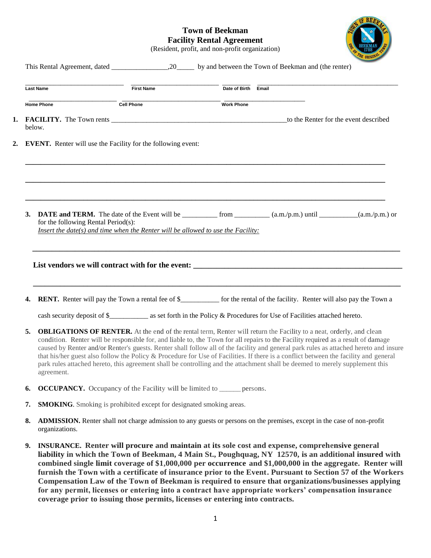## **Town of Beekman Facility Rental Agreement**



(Resident, profit, and non-profit organization)

|    | <b>Last Name</b>                                                                                                                                                                                                                                                                                                                                                                                                                                                                                                                                                                                                                                                                               | <b>First Name</b> | Date of Birth Email |                                                                                                                                                                                                                                                                                                                                                                                                                                                                                                                                                                                                                                                        |  |  |  |  |
|----|------------------------------------------------------------------------------------------------------------------------------------------------------------------------------------------------------------------------------------------------------------------------------------------------------------------------------------------------------------------------------------------------------------------------------------------------------------------------------------------------------------------------------------------------------------------------------------------------------------------------------------------------------------------------------------------------|-------------------|---------------------|--------------------------------------------------------------------------------------------------------------------------------------------------------------------------------------------------------------------------------------------------------------------------------------------------------------------------------------------------------------------------------------------------------------------------------------------------------------------------------------------------------------------------------------------------------------------------------------------------------------------------------------------------------|--|--|--|--|
|    | <b>Home Phone</b>                                                                                                                                                                                                                                                                                                                                                                                                                                                                                                                                                                                                                                                                              | <b>Cell Phone</b> | <b>Work Phone</b>   |                                                                                                                                                                                                                                                                                                                                                                                                                                                                                                                                                                                                                                                        |  |  |  |  |
|    | below.                                                                                                                                                                                                                                                                                                                                                                                                                                                                                                                                                                                                                                                                                         |                   |                     | to the Renter for the event described                                                                                                                                                                                                                                                                                                                                                                                                                                                                                                                                                                                                                  |  |  |  |  |
|    | <b>EVENT.</b> Renter will use the Facility for the following event:                                                                                                                                                                                                                                                                                                                                                                                                                                                                                                                                                                                                                            |                   |                     |                                                                                                                                                                                                                                                                                                                                                                                                                                                                                                                                                                                                                                                        |  |  |  |  |
| 3. | for the following Rental Period(s):<br>Insert the date(s) and time when the Renter will be allowed to use the Facility:                                                                                                                                                                                                                                                                                                                                                                                                                                                                                                                                                                        |                   |                     |                                                                                                                                                                                                                                                                                                                                                                                                                                                                                                                                                                                                                                                        |  |  |  |  |
|    |                                                                                                                                                                                                                                                                                                                                                                                                                                                                                                                                                                                                                                                                                                |                   |                     |                                                                                                                                                                                                                                                                                                                                                                                                                                                                                                                                                                                                                                                        |  |  |  |  |
| 4. |                                                                                                                                                                                                                                                                                                                                                                                                                                                                                                                                                                                                                                                                                                |                   |                     | <b>RENT.</b> Renter will pay the Town a rental fee of \$____________ for the rental of the facility. Renter will also pay the Town a                                                                                                                                                                                                                                                                                                                                                                                                                                                                                                                   |  |  |  |  |
| 5. | <b>OBLIGATIONS OF RENTER.</b> At the end of the rental term, Renter will return the Facility to a neat, orderly, and clean<br>condition. Renter will be responsible for, and liable to, the Town for all repairs to the Facility required as a result of damage<br>caused by Renter and/or Renter's guests. Renter shall follow all of the facility and general park rules as attached hereto and insure<br>that his/her guest also follow the Policy & Procedure for Use of Facilities. If there is a conflict between the facility and general<br>park rules attached hereto, this agreement shall be controlling and the attachment shall be deemed to merely supplement this<br>agreement. |                   |                     |                                                                                                                                                                                                                                                                                                                                                                                                                                                                                                                                                                                                                                                        |  |  |  |  |
| 6. | <b>OCCUPANCY.</b> Occupancy of the Facility will be limited to ______ persons.                                                                                                                                                                                                                                                                                                                                                                                                                                                                                                                                                                                                                 |                   |                     |                                                                                                                                                                                                                                                                                                                                                                                                                                                                                                                                                                                                                                                        |  |  |  |  |
| 7. | <b>SMOKING</b> . Smoking is prohibited except for designated smoking areas.                                                                                                                                                                                                                                                                                                                                                                                                                                                                                                                                                                                                                    |                   |                     |                                                                                                                                                                                                                                                                                                                                                                                                                                                                                                                                                                                                                                                        |  |  |  |  |
| 8. | organizations.                                                                                                                                                                                                                                                                                                                                                                                                                                                                                                                                                                                                                                                                                 |                   |                     | <b>ADMISSION.</b> Renter shall not charge admission to any guests or persons on the premises, except in the case of non-profit                                                                                                                                                                                                                                                                                                                                                                                                                                                                                                                         |  |  |  |  |
| 9. |                                                                                                                                                                                                                                                                                                                                                                                                                                                                                                                                                                                                                                                                                                |                   |                     | INSURANCE. Renter will procure and maintain at its sole cost and expense, comprehensive general<br>liability in which the Town of Beekman, 4 Main St., Poughquag, NY 12570, is an additional insured with<br>combined single limit coverage of \$1,000,000 per occurrence and \$1,000,000 in the aggregate. Renter will<br>furnish the Town with a certificate of insurance prior to the Event. Pursuant to Section 57 of the Workers<br>Compensation Law of the Town of Beekman is required to ensure that organizations/businesses applying<br>for any permit, licenses or entering into a contract have appropriate workers' compensation insurance |  |  |  |  |

**coverage prior to issuing those permits, licenses or entering into contracts.**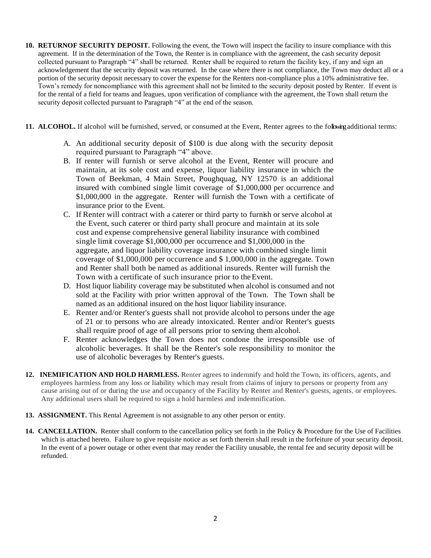- **10. RETURNOF SECURITY DEPOSIT.** Following the event, the Town will inspect the facility to insure compliance with this agreement. If in the determination of the Town, the Renter is in compliance with the agreement, the cash security deposit collected pursuant to Paragraph "4" shall be returned. Renter shall be required to return the facility key, if any and sign an acknowledgement that the security deposit was returned. In the case where there is not compliance, the Town may deduct all or a portion of the security deposit necessary to cover the expense for the Renters non-compliance plus a 10% administrative fee. Town's remedy for noncompliance with this agreement shall not be limited to the security deposit posted by Renter. If event is for the rental of a field for teams and leagues, upon verification of compliance with the agreement, the Town shall return the security deposit collected pursuant to Paragraph "4" at the end of the season.
- **11. ALCOHOL.** If alcohol will be furnished, served, or consumed at the Event, Renter agrees to the following additional terms:
	- A. An additional security deposit of \$100 is due along with the security deposit required pursuant to Paragraph "4" above.
	- B. If renter will furnish or serve alcohol at the Event, Renter will procure and maintain, at its sole cost and expense, liquor liability insurance in which the Town of Beekman, 4 Main Street, Poughquag, NY 12570 is an additional insured with combined single limit coverage of \$1,000,000 per occurrence and \$1,000,000 in the aggregate. Renter will furnish the Town with a certificate of insurance prior to the Event.
	- C. If Renter will contract with a caterer or third party to furnish or serve alcohol at the Event, such caterer or third party shall procure and maintain at its sole cost and expense comprehensive general liability insurance with combined single limit coverage \$1,000,000 per occurrence and \$1,000,000 in the aggregate, and liquor liability coverage insurance with combined single limit coverage of \$1,000,000 per occurrence and \$ 1,000,000 in the aggregate. Town and Renter shall both be named as additional insureds. Renter will furnish the Town with a certificate of such insurance prior to theEvent.
	- D. Host liquor liability coverage may be substituted when alcohol is consumed and not sold at the Facility with prior written approval of the Town. The Town shall be named as an additional insured on the host liquor liability insurance.
	- E. Renter and/or Renter's guests shall not provide alcohol to persons under the age of 21 or to persons who are already intoxicated. Renter and/or Renter's guests shall require proof of age of all persons prior to serving them alcohol.
	- F. Renter acknowledges the Town does not condone the irresponsible use of alcoholic beverages. It shall be the Renter's sole responsibility to monitor the use of alcoholic beverages by Renter's guests.
- **12. INEMIFICATION AND HOLD HARMLESS.** Renter agrees to indemnify and hold the Town, its officers, agents, and employees harmless from any loss or liability which may result from claims of injury to persons or property from any cause arising out of or during the use and occupancy of the Facility by Renter and Renter's guests, agents, or employees. Any additional users shall be required to sign a hold harmless and indemnification.
- **13. ASSIGNMENT.** This Rental Agreement is not assignable to any other person or entity.
- **14. CANCELLATION.** Renter shall conform to the cancellation policy set forth in the Policy & Procedure for the Use of Facilities which is attached hereto. Failure to give requisite notice as set forth therein shall result in the forfeiture of your security deposit. In the event of a power outage or other event that may render the Facility unusable, the rental fee and security deposit will be refunded.